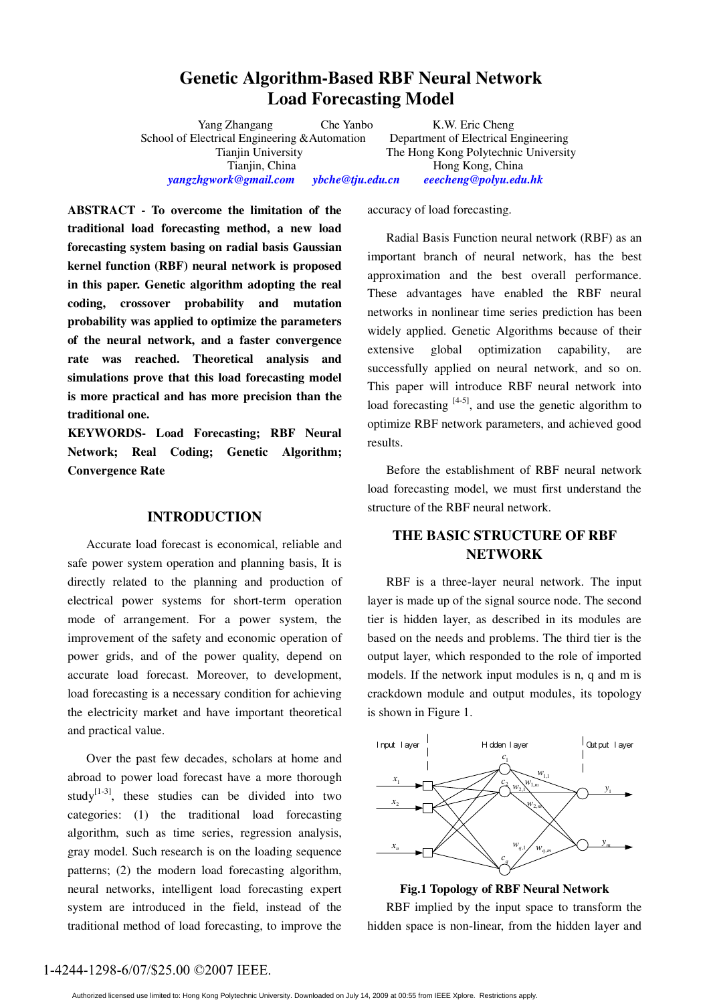# **Genetic Algorithm-Based RBF Neural Network Load Forecasting Model**

School of Electrical Engineering &Automation Tianjin, China Hong Kong, China *yangzhgwork@gmail.com**ybche@tju.edu.cn eeecheng@polyu.edu.hk* 

Yang Zhangang Che Yanbo<br>lectrical Engineering & Automation Department of Electrical Engineering Tianjin University The Hong Kong Polytechnic University

**ABSTRACT - To overcome the limitation of the traditional load forecasting method, a new load forecasting system basing on radial basis Gaussian kernel function (RBF) neural network is proposed in this paper. Genetic algorithm adopting the real coding, crossover probability and mutation probability was applied to optimize the parameters of the neural network, and a faster convergence rate was reached. Theoretical analysis and simulations prove that this load forecasting model is more practical and has more precision than the traditional one.** 

**KEYWORDS- Load Forecasting; RBF Neural Network; Real Coding; Genetic Algorithm; Convergence Rate** 

# **INTRODUCTION**

Accurate load forecast is economical, reliable and safe power system operation and planning basis, It is directly related to the planning and production of electrical power systems for short-term operation mode of arrangement. For a power system, the improvement of the safety and economic operation of power grids, and of the power quality, depend on accurate load forecast. Moreover, to development, load forecasting is a necessary condition for achieving the electricity market and have important theoretical and practical value.

Over the past few decades, scholars at home and abroad to power load forecast have a more thorough study<sup>[1-3]</sup>, these studies can be divided into two categories: (1) the traditional load forecasting algorithm, such as time series, regression analysis, gray model. Such research is on the loading sequence patterns; (2) the modern load forecasting algorithm, neural networks, intelligent load forecasting expert system are introduced in the field, instead of the traditional method of load forecasting, to improve the accuracy of load forecasting.

Radial Basis Function neural network (RBF) as an important branch of neural network, has the best approximation and the best overall performance. These advantages have enabled the RBF neural networks in nonlinear time series prediction has been widely applied. Genetic Algorithms because of their extensive global optimization capability, are successfully applied on neural network, and so on. This paper will introduce RBF neural network into load forecasting  $[4-5]$ , and use the genetic algorithm to optimize RBF network parameters, and achieved good results.

Before the establishment of RBF neural network load forecasting model, we must first understand the structure of the RBF neural network.

# **THE BASIC STRUCTURE OF RBF NETWORK**

RBF is a three-layer neural network. The input layer is made up of the signal source node. The second tier is hidden layer, as described in its modules are based on the needs and problems. The third tier is the output layer, which responded to the role of imported models. If the network input modules is n, q and m is crackdown module and output modules, its topology is shown in Figure 1.



**Fig.1 Topology of RBF Neural Network** 

RBF implied by the input space to transform the hidden space is non-linear, from the hidden layer and

## 1-4244-1298-6/07/\$25.00 ©2007 IEEE.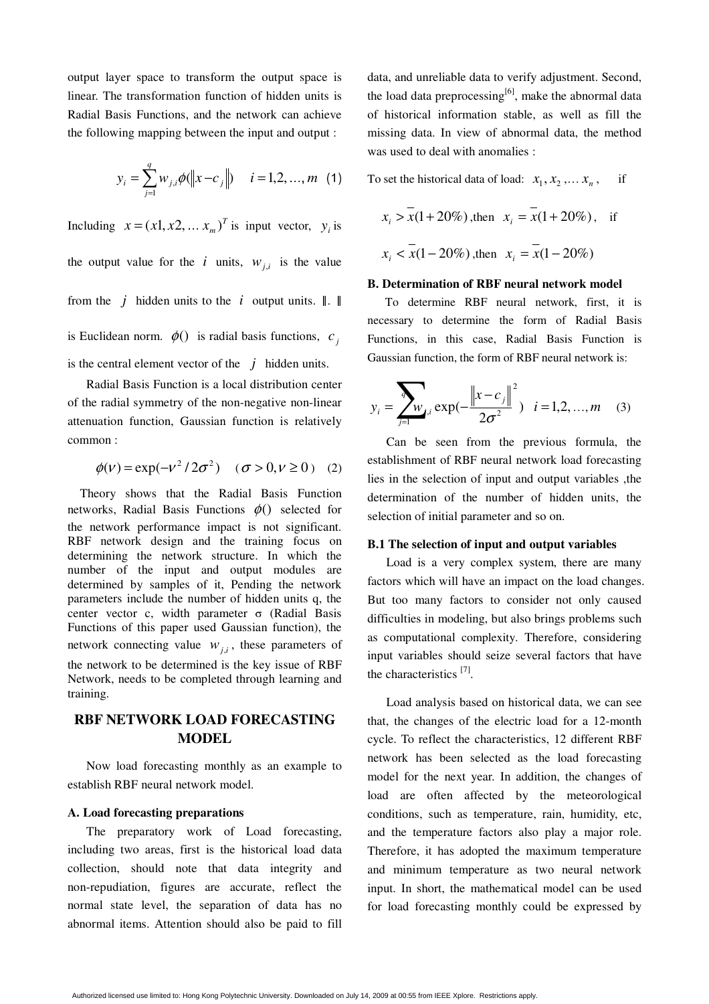output layer space to transform the output space is linear. The transformation function of hidden units is Radial Basis Functions, and the network can achieve the following mapping between the input and output :

$$
y_i = \sum_{j=1}^{q} w_{j,i} \phi(||x - c_j||) \quad i = 1, 2, ..., m \quad (1)
$$

Including  $x = (x_1, x_2, \dots, x_m)^T$  is input vector,  $y_i$  is the output value for the *i* units,  $w_{ij}$  is the value from the *j* hidden units to the *i* output units. ‖. ‖ is Euclidean norm.  $\phi$ () is radial basis functions, *c*, is the central element vector of the  $j$  hidden units.

Radial Basis Function is a local distribution center of the radial symmetry of the non-negative non-linear attenuation function, Gaussian function is relatively common :

$$
\phi(\nu) = \exp(-\nu^2/2\sigma^2) \quad (\sigma > 0, \nu \ge 0)
$$
 (2)

Theory shows that the Radial Basis Function networks, Radial Basis Functions  $\phi$ () selected for the network performance impact is not significant. RBF network design and the training focus on determining the network structure. In which the number of the input and output modules are determined by samples of it, Pending the network parameters include the number of hidden units q, the center vector c, width parameter σ (Radial Basis Functions of this paper used Gaussian function), the network connecting value  $w_{i,i}$ , these parameters of the network to be determined is the key issue of RBF Network, needs to be completed through learning and training.

# **RBF NETWORK LOAD FORECASTING MODEL**

Now load forecasting monthly as an example to establish RBF neural network model.

### **A. Load forecasting preparations**

The preparatory work of Load forecasting, including two areas, first is the historical load data collection, should note that data integrity and non-repudiation, figures are accurate, reflect the normal state level, the separation of data has no abnormal items. Attention should also be paid to fill

data, and unreliable data to verify adjustment. Second, the load data preprocessing<sup>[6]</sup>, make the abnormal data of historical information stable, as well as fill the missing data. In view of abnormal data, the method was used to deal with anomalies :

To set the historical data of load:  $x_1, x_2, \ldots, x_n$ , if

$$
x_i > \overline{x}(1+20\%)
$$
, then  $x_i = \overline{x}(1+20\%)$ , if  
 $x_i < \overline{x}(1-20\%)$ , then  $x_i = \overline{x}(1-20\%)$ 

#### **B. Determination of RBF neural network model**

To determine RBF neural network, first, it is necessary to determine the form of Radial Basis Functions, in this case, Radial Basis Function is Gaussian function, the form of RBF neural network is:

$$
y_i = \sum_{j=1}^{n} w_{i,i} \exp(-\frac{\left\|x - c_j\right\|^2}{2\sigma^2}), \quad i = 1, 2, ..., m \quad (3)
$$

Can be seen from the previous formula, the establishment of RBF neural network load forecasting lies in the selection of input and output variables ,the determination of the number of hidden units, the selection of initial parameter and so on.

### **B.1 The selection of input and output variables**

Load is a very complex system, there are many factors which will have an impact on the load changes. But too many factors to consider not only caused difficulties in modeling, but also brings problems such as computational complexity. Therefore, considering input variables should seize several factors that have the characteristics [7].

Load analysis based on historical data, we can see that, the changes of the electric load for a 12-month cycle. To reflect the characteristics, 12 different RBF network has been selected as the load forecasting model for the next year. In addition, the changes of load are often affected by the meteorological conditions, such as temperature, rain, humidity, etc, and the temperature factors also play a major role. Therefore, it has adopted the maximum temperature and minimum temperature as two neural network input. In short, the mathematical model can be used for load forecasting monthly could be expressed by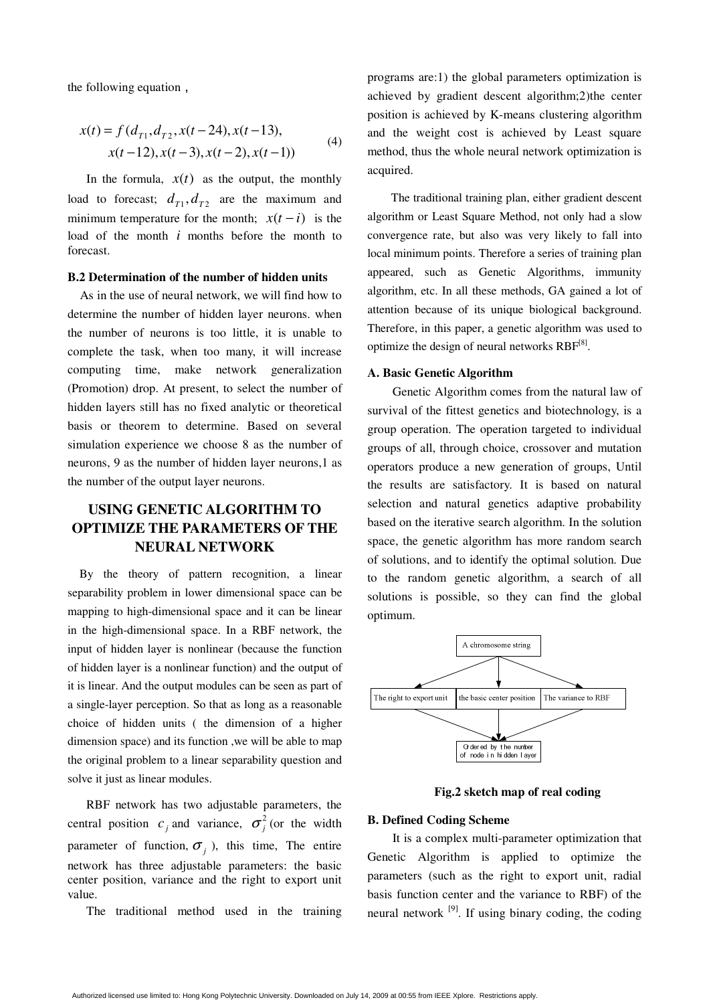the following equation,

$$
x(t) = f(d_{T1}, d_{T2}, x(t-24), x(t-13),x(t-12), x(t-3), x(t-2), x(t-1))
$$
 (4)

In the formula,  $x(t)$  as the output, the monthly load to forecast;  $d_{T_1}, d_{T_2}$  are the maximum and minimum temperature for the month;  $x(t - i)$  is the load of the month *i* months before the month to forecast.

#### **B.2 Determination of the number of hidden units**

As in the use of neural network, we will find how to determine the number of hidden layer neurons. when the number of neurons is too little, it is unable to complete the task, when too many, it will increase computing time, make network generalization (Promotion) drop. At present, to select the number of hidden layers still has no fixed analytic or theoretical basis or theorem to determine. Based on several simulation experience we choose 8 as the number of neurons, 9 as the number of hidden layer neurons,1 as the number of the output layer neurons.

# **USING GENETIC ALGORITHM TO OPTIMIZE THE PARAMETERS OF THE NEURAL NETWORK**

By the theory of pattern recognition, a linear separability problem in lower dimensional space can be mapping to high-dimensional space and it can be linear in the high-dimensional space. In a RBF network, the input of hidden layer is nonlinear (because the function of hidden layer is a nonlinear function) and the output of it is linear. And the output modules can be seen as part of a single-layer perception. So that as long as a reasonable choice of hidden units ( the dimension of a higher dimension space) and its function ,we will be able to map the original problem to a linear separability question and solve it just as linear modules.

RBF network has two adjustable parameters, the central position  $c_j$  and variance,  $\sigma_j^2$  (or the width parameter of function,  $\sigma_i$ , this time, The entire network has three adjustable parameters: the basic center position, variance and the right to export unit value.

The traditional method used in the training

programs are:1) the global parameters optimization is achieved by gradient descent algorithm;2)the center position is achieved by K-means clustering algorithm and the weight cost is achieved by Least square method, thus the whole neural network optimization is acquired.

The traditional training plan, either gradient descent algorithm or Least Square Method, not only had a slow convergence rate, but also was very likely to fall into local minimum points. Therefore a series of training plan appeared, such as Genetic Algorithms, immunity algorithm, etc. In all these methods, GA gained a lot of attention because of its unique biological background. Therefore, in this paper, a genetic algorithm was used to optimize the design of neural networks  $RBF^{[8]}$ .

## **A. Basic Genetic Algorithm**

Genetic Algorithm comes from the natural law of survival of the fittest genetics and biotechnology, is a group operation. The operation targeted to individual groups of all, through choice, crossover and mutation operators produce a new generation of groups, Until the results are satisfactory. It is based on natural selection and natural genetics adaptive probability based on the iterative search algorithm. In the solution space, the genetic algorithm has more random search of solutions, and to identify the optimal solution. Due to the random genetic algorithm, a search of all solutions is possible, so they can find the global optimum.



**Fig.2 sketch map of real coding**

#### **B. Defined Coding Scheme**

It is a complex multi-parameter optimization that Genetic Algorithm is applied to optimize the parameters (such as the right to export unit, radial basis function center and the variance to RBF) of the neural network  $[9]$ . If using binary coding, the coding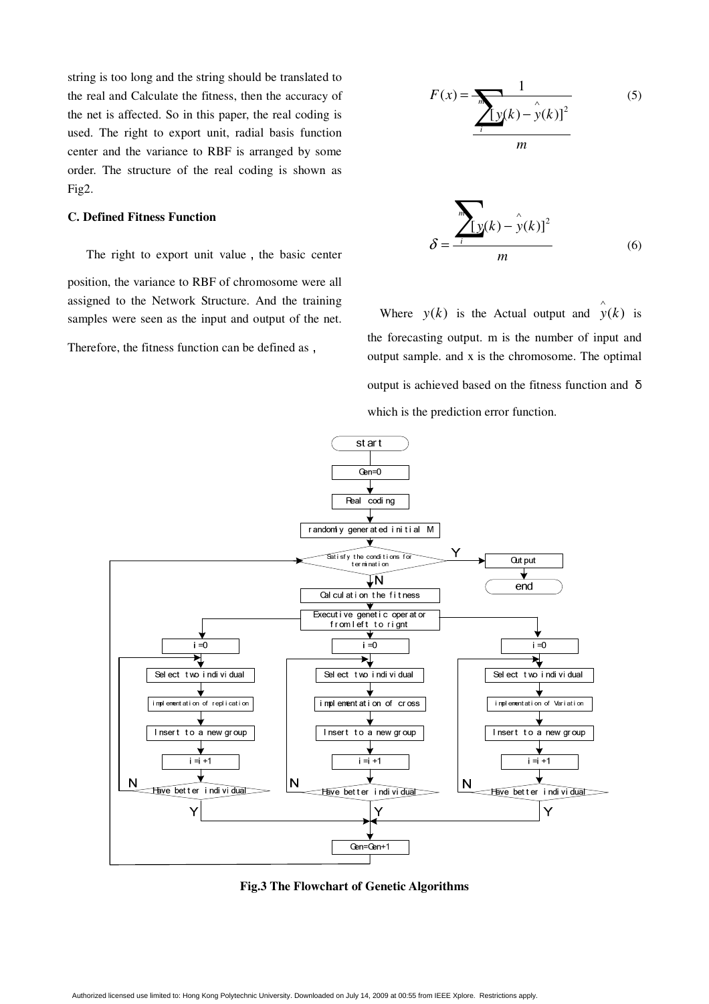string is too long and the string should be translated to the real and Calculate the fitness, then the accuracy of the net is affected. So in this paper, the real coding is used. The right to export unit, radial basis function center and the variance to RBF is arranged by some order. The structure of the real coding is shown as Fig2.

# **C. Defined Fitness Function**

The right to export unit value, the basic center position, the variance to RBF of chromosome were all assigned to the Network Structure. And the training samples were seen as the input and output of the net.

Therefore, the fitness function can be defined as,

$$
F(x) = \frac{1}{\sqrt{\left[y(k) - y(k)\right]^2}}
$$
 (5)

$$
\delta = \frac{\sum_{i}^{m} [y(k) - \hat{y}(k)]^2}{m}
$$
 (6)

Where  $y(k)$  is the Actual output and  $\hat{y}(k)$  is the forecasting output. m is the number of input and output sample. and x is the chromosome. The optimal output is achieved based on the fitness function and <sup>δ</sup> which is the prediction error function.



**Fig.3 The Flowchart of Genetic Algorithms**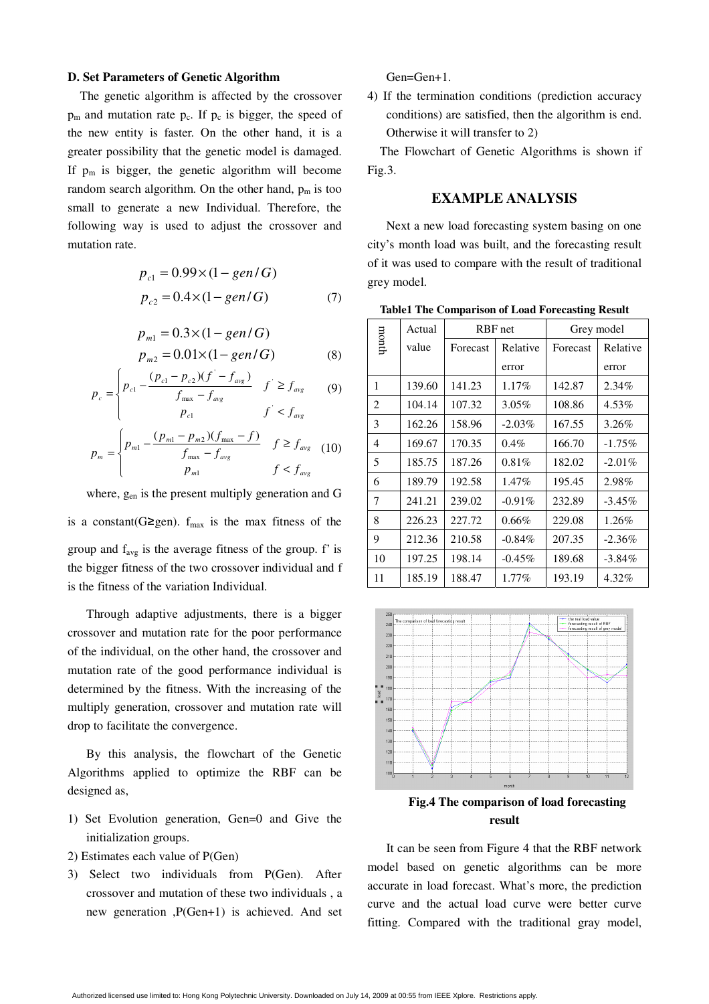## **D. Set Parameters of Genetic Algorithm**

The genetic algorithm is affected by the crossover  $p_m$  and mutation rate  $p_c$ . If  $p_c$  is bigger, the speed of the new entity is faster. On the other hand, it is a greater possibility that the genetic model is damaged. If  $p_m$  is bigger, the genetic algorithm will become random search algorithm. On the other hand,  $p_m$  is too small to generate a new Individual. Therefore, the following way is used to adjust the crossover and mutation rate.

$$
p_{c1} = 0.99 \times (1 - gen/G)
$$
  
\n
$$
p_{c2} = 0.4 \times (1 - gen/G)
$$
 (7)

$$
p_{m1} = 0.3 \times (1 - gen/G)
$$
  
\n
$$
p_{m2} = 0.01 \times (1 - gen/G)
$$
 (8)

$$
p_c = \begin{cases} p_{c1} - \frac{(p_{c1} - p_{c2})(f' - f_{avg})}{f_{max} - f_{avg}} & f' \ge f_{avg} \\ p_{c1} & f' < f_{avg} \end{cases}
$$
(9)

$$
p_{cn} = \begin{cases} p_{m1} - \frac{(p_{m1} - p_{m2})(f_{\text{max}} - f)}{f_{\text{max}} - f_{\text{avg}}} & f \ge f_{\text{avg}} \\ p_{m1} - \frac{(p_{m1} - p_{m2})(f_{\text{max}} - f)}{p_{m1}} & f < f_{\text{avg}} \end{cases} (10)
$$

where, gen is the present multiply generation and G

is a constant(G≥gen).  $f_{max}$  is the max fitness of the group and  $f_{avg}$  is the average fitness of the group.  $f'$  is the bigger fitness of the two crossover individual and f is the fitness of the variation Individual.

Through adaptive adjustments, there is a bigger crossover and mutation rate for the poor performance of the individual, on the other hand, the crossover and mutation rate of the good performance individual is determined by the fitness. With the increasing of the multiply generation, crossover and mutation rate will drop to facilitate the convergence.

By this analysis, the flowchart of the Genetic Algorithms applied to optimize the RBF can be designed as,

- 1) Set Evolution generation, Gen=0 and Give the initialization groups.
- 2) Estimates each value of P(Gen)
- 3) Select two individuals from P(Gen). After crossover and mutation of these two individuals , a new generation ,P(Gen+1) is achieved. And set

Gen=Gen+1.

4) If the termination conditions (prediction accuracy conditions) are satisfied, then the algorithm is end. Otherwise it will transfer to 2)

The Flowchart of Genetic Algorithms is shown if Fig.3.

## **EXAMPLE ANALYSIS**

Next a new load forecasting system basing on one city's month load was built, and the forecasting result of it was used to compare with the result of traditional grey model.

**Table1 The Comparison of Load Forecasting Result** 

|                                                    | Grey model |
|----------------------------------------------------|------------|
| month<br>value<br>Relative<br>Forecast<br>Forecast | Relative   |
| error<br>error                                     |            |
| 139.60<br>141.23<br>1<br>$1.17\%$<br>142.87        | $2.34\%$   |
| 2<br>104.14<br>108.86<br>107.32<br>$3.05\%$        | 4.53%      |
| 162.26<br>3<br>158.96<br>$-2.03\%$<br>167.55       | $3.26\%$   |
| 166.70<br>169.67<br>170.35<br>$0.4\%$<br>4         | $-1.75%$   |
| 5<br>182.02<br>185.75<br>187.26<br>$0.81\%$        | $-2.01\%$  |
| 6<br>189.79<br>1.47%<br>192.58<br>195.45           | 2.98%      |
| 7<br>241.21<br>239.02<br>$-0.91\%$<br>232.89       | $-3.45\%$  |
| 8<br>226.23<br>227.72<br>$0.66\%$<br>229.08        | $1.26\%$   |
| 9<br>212.36<br>210.58<br>207.35<br>$-0.84\%$       | $-2.36\%$  |
| 10<br>197.25<br>198.14<br>$-0.45\%$<br>189.68      | $-3.84\%$  |
| 11<br>185.19<br>188.47<br>1.77%<br>193.19          | 4.32%      |



**Fig.4 The comparison of load forecasting result** 

It can be seen from Figure 4 that the RBF network model based on genetic algorithms can be more accurate in load forecast. What's more, the prediction curve and the actual load curve were better curve fitting. Compared with the traditional gray model,